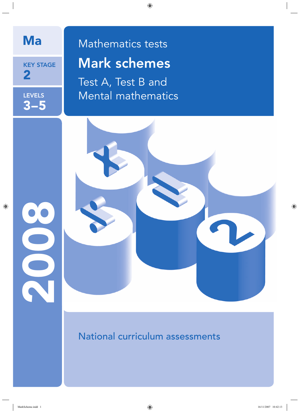

KEY STAGE 2

LEVELS 3–5

2009

# Ma Mathematics tests Mark schemes

Test A, Test B and Mental mathematics

National curriculum assessments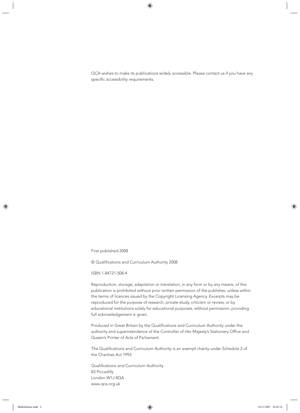QCA wishes to make its publications widely accessible. Please contact us if you have any specific accessibility requirements.

First published 2008

© Qualifications and Curriculum Authority 2008

ISBN 1-84721-508-4

Reproduction, storage, adaptation or translation, in any form or by any means, of this publication is prohibited without prior written permission of the publisher, unless within the terms of licences issued by the Copyright Licensing Agency. Excerpts may be reproduced for the purpose of research, private study, criticism or review, or by educational institutions solely for educational purposes, without permission, providing full acknowledgement is given.

Produced in Great Britain by the Qualifications and Curriculum Authority under the authority and superintendence of the Controller of Her Majesty's Stationery Office and Queen's Printer of Acts of Parliament.

The Qualifications and Curriculum Authority is an exempt charity under Schedule 2 of the Charities Act 1993.

Qualifications and Curriculum Authority 83 Piccadilly London W1J 8QA www.qca.org.uk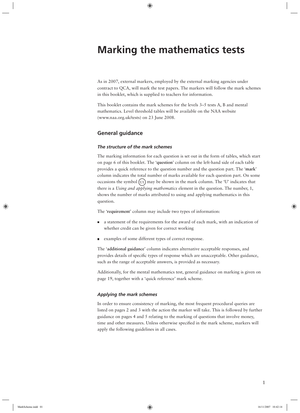## **Marking the mathematics tests**

As in 2007, external markers, employed by the external marking agencies under contract to QCA, will mark the test papers. The markers will follow the mark schemes in this booklet, which is supplied to teachers for information.

This booklet contains the mark schemes for the levels 3–5 tests A, B and mental mathematics. Level threshold tables will be available on the NAA website (www.naa.org.uk/tests) on 23 June 2008.

#### **General guidance**

#### *The structure of the mark schemes*

The marking information for each question is set out in the form of tables, which start on page 6 of this booklet. The '**question**' column on the left-hand side of each table provides a quick reference to the question number and the question part. The '**mark**' column indicates the total number of marks available for each question part. On some occasions the symbol  $(U_1)$  may be shown in the mark column. The 'U' indicates that there is a *Using and applying mathematics* element in the question. The number, 1, shows the number of marks attributed to using and applying mathematics in this question.

The '**requirement**' column may include two types of information:

- a statement of the requirements for the award of each mark, with an indication of whether credit can be given for correct working
- examples of some different types of correct response.

The '**additional guidance**' column indicates alternative acceptable responses, and provides details of specifi c types of response which are unacceptable. Other guidance, such as the range of acceptable answers, is provided as necessary.

Additionally, for the mental mathematics test, general guidance on marking is given on page 19, together with a 'quick reference' mark scheme.

#### *Applying the mark schemes*

In order to ensure consistency of marking, the most frequent procedural queries are listed on pages 2 and 3 with the action the marker will take. This is followed by further guidance on pages 4 and 5 relating to the marking of questions that involve money, time and other measures. Unless otherwise specified in the mark scheme, markers will apply the following guidelines in all cases.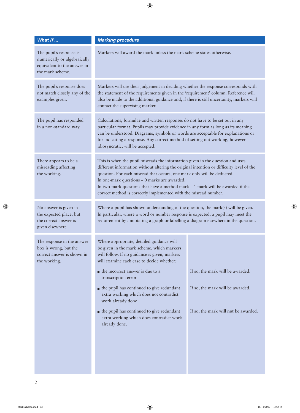| What if                                                                                                    | <b>Marking procedure</b>                                                                                                                                                                                                                                                                                                                                                                                                                                                                                |                                                                                                              |  |
|------------------------------------------------------------------------------------------------------------|---------------------------------------------------------------------------------------------------------------------------------------------------------------------------------------------------------------------------------------------------------------------------------------------------------------------------------------------------------------------------------------------------------------------------------------------------------------------------------------------------------|--------------------------------------------------------------------------------------------------------------|--|
| The pupil's response is<br>numerically or algebraically<br>equivalent to the answer in<br>the mark scheme. | Markers will award the mark unless the mark scheme states otherwise.                                                                                                                                                                                                                                                                                                                                                                                                                                    |                                                                                                              |  |
| The pupil's response does<br>not match closely any of the<br>examples given.                               | Markers will use their judgement in deciding whether the response corresponds with<br>the statement of the requirements given in the 'requirement' column. Reference will<br>also be made to the additional guidance and, if there is still uncertainty, markers will<br>contact the supervising marker.                                                                                                                                                                                                |                                                                                                              |  |
| The pupil has responded<br>in a non-standard way.                                                          | Calculations, formulae and written responses do not have to be set out in any<br>particular format. Pupils may provide evidence in any form as long as its meaning<br>can be understood. Diagrams, symbols or words are acceptable for explanations or<br>for indicating a response. Any correct method of setting out working, however<br>idiosyncratic, will be accepted.                                                                                                                             |                                                                                                              |  |
| There appears to be a<br>misreading affecting<br>the working.                                              | This is when the pupil misreads the information given in the question and uses<br>different information without altering the original intention or difficulty level of the<br>question. For each misread that occurs, one mark only will be deducted.<br>In one-mark questions - 0 marks are awarded.<br>In two-mark questions that have a method mark - 1 mark will be awarded if the<br>correct method is correctly implemented with the misread number.                                              |                                                                                                              |  |
| No answer is given in<br>the expected place, but<br>the correct answer is<br>given elsewhere.              | Where a pupil has shown understanding of the question, the mark(s) will be given.<br>In particular, where a word or number response is expected, a pupil may meet the<br>requirement by annotating a graph or labelling a diagram elsewhere in the question.                                                                                                                                                                                                                                            |                                                                                                              |  |
| The response in the answer<br>box is wrong, but the<br>correct answer is shown in<br>the working.          | Where appropriate, detailed guidance will<br>be given in the mark scheme, which markers<br>will follow. If no guidance is given, markers<br>will examine each case to decide whether:<br>$\blacksquare$ the incorrect answer is due to a<br>transcription error<br>$\blacksquare$ the pupil has continued to give redundant<br>extra working which does not contradict<br>work already done<br>• the pupil has continued to give redundant<br>extra working which does contradict work<br>already done. | If so, the mark will be awarded.<br>If so, the mark will be awarded.<br>If so, the mark will not be awarded. |  |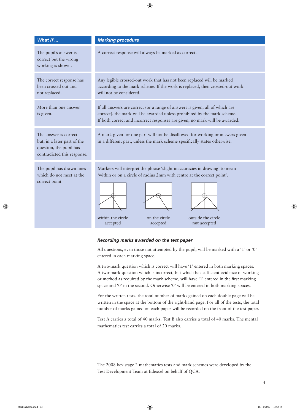| What if                                                                                                        | <b>Marking procedure</b>                                                                                                                                                                                                                                  |  |  |
|----------------------------------------------------------------------------------------------------------------|-----------------------------------------------------------------------------------------------------------------------------------------------------------------------------------------------------------------------------------------------------------|--|--|
| The pupil's answer is<br>correct but the wrong<br>working is shown.                                            | A correct response will always be marked as correct.                                                                                                                                                                                                      |  |  |
| The correct response has<br>been crossed out and<br>not replaced.                                              | Any legible crossed-out work that has not been replaced will be marked<br>according to the mark scheme. If the work is replaced, then crossed-out work<br>will not be considered.                                                                         |  |  |
| More than one answer<br>is given.                                                                              | If all answers are correct (or a range of answers is given, all of which are<br>correct), the mark will be awarded unless prohibited by the mark scheme.<br>If both correct and incorrect responses are given, no mark will be awarded.                   |  |  |
| The answer is correct<br>but, in a later part of the<br>question, the pupil has<br>contradicted this response. | A mark given for one part will not be disallowed for working or answers given<br>in a different part, unless the mark scheme specifically states otherwise.                                                                                               |  |  |
| The pupil has drawn lines<br>which do not meet at the<br>correct point.                                        | Markers will interpret the phrase 'slight inaccuracies in drawing' to mean<br>'within or on a circle of radius 2mm with centre at the correct point'.<br>within the circle<br>on the circle<br>outside the circle<br>accepted<br>accepted<br>not accepted |  |  |

#### *Recording marks awarded on the test paper*

All questions, even those not attempted by the pupil, will be marked with a '1' or '0' entered in each marking space.

A two-mark question which is correct will have '1' entered in both marking spaces. A two-mark question which is incorrect, but which has sufficient evidence of working or method as required by the mark scheme, will have '1' entered in the first marking space and '0' in the second. Otherwise '0' will be entered in both marking spaces.

For the written tests, the total number of marks gained on each double page will be written in the space at the bottom of the right-hand page. For all of the tests, the total number of marks gained on each paper will be recorded on the front of the test paper.

Test A carries a total of 40 marks. Test B also carries a total of 40 marks. The mental mathematics test carries a total of 20 marks.

The 2008 key stage 2 mathematics tests and mark schemes were developed by the Test Development Team at Edexcel on behalf of QCA.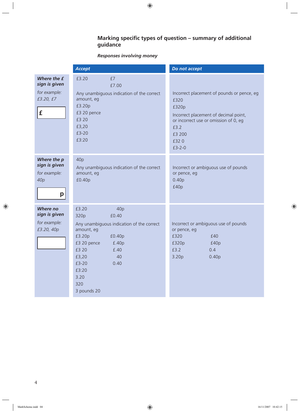#### **Marking specific types of question – summary of additional guidance**

#### *Responses involving money*

|                                                                      | <b>Accept</b>                                                                                                                                                                                                                | Do not accept                                                                                                                                                                       |
|----------------------------------------------------------------------|------------------------------------------------------------------------------------------------------------------------------------------------------------------------------------------------------------------------------|-------------------------------------------------------------------------------------------------------------------------------------------------------------------------------------|
| Where the £<br>sign is given<br>for example:<br>£3.20, £7<br>£       | £3.20<br>£7<br>£7.00<br>Any unambiguous indication of the correct<br>amount, eg<br>£3.20p<br>£3 20 pence<br>£3 20<br>£3,20<br>£3-20<br>£3:20                                                                                 | Incorrect placement of pounds or pence, eg<br>£320<br>£320p<br>Incorrect placement of decimal point,<br>or incorrect use or omission of 0, eg<br>£3.2<br>£3 200<br>£320<br>$£3-2-0$ |
| Where the p<br>sign is given<br>for example:<br>40 <sub>p</sub><br>p | 40p<br>Any unambiguous indication of the correct<br>amount, eg<br>£0.40p                                                                                                                                                     | Incorrect or ambiguous use of pounds<br>or pence, eg<br>0.40 <sub>p</sub><br>£40p                                                                                                   |
| Where no<br>sign is given<br>for example:<br>£3.20, 40p              | £3.20<br>40p<br>£0.40<br>320p<br>Any unambiguous indication of the correct<br>amount, eg<br>£3.20p<br>£0.40p<br>£3 20 pence<br>£.40p<br>£3 20<br>f.40<br>£3,20<br>40<br>£3-20<br>0.40<br>£3:20<br>3.20<br>320<br>3 pounds 20 | Incorrect or ambiguous use of pounds<br>or pence, eg<br>£320<br>£40<br>£320p<br>£40p<br>£3.2<br>0.4<br>3.20 <sub>p</sub><br>0.40 <sub>p</sub>                                       |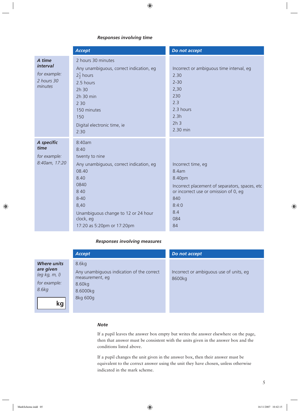#### *Responses involving time*

|                                                                           | <b>Accept</b>                                                                                                                                                                                                       | Do not accept                                                                                                                                                        |
|---------------------------------------------------------------------------|---------------------------------------------------------------------------------------------------------------------------------------------------------------------------------------------------------------------|----------------------------------------------------------------------------------------------------------------------------------------------------------------------|
| A time<br><i><b>interval</b></i><br>for example:<br>2 hours 30<br>minutes | 2 hours 30 minutes<br>Any unambiguous, correct indication, eg<br>$2\frac{1}{2}$ hours<br>2.5 hours<br>2h 30<br>2h 30 min<br>2 3 0<br>150 minutes<br>150<br>Digital electronic time, ie<br>2:30                      | Incorrect or ambiguous time interval, eg<br>2.30<br>$2 - 30$<br>2,30<br>230<br>2.3<br>2.3 hours<br>2.3h<br>2h <sub>3</sub><br>2.30 min                               |
| A specific<br>time<br>for example:<br>8:40am, 17:20                       | 8:40am<br>8:40<br>twenty to nine<br>Any unambiguous, correct indication, eg<br>08.40<br>8.40<br>0840<br>8 4 0<br>$8 - 40$<br>8,40<br>Unambiguous change to 12 or 24 hour<br>clock, eg<br>17:20 as 5:20pm or 17:20pm | Incorrect time, eg<br>8.4am<br>8.40pm<br>Incorrect placement of separators, spaces, etc<br>or incorrect use or omission of 0, eg<br>840<br>8:4:0<br>8.4<br>084<br>84 |

#### *Responses involving measures*

|                                                                           | Accept                                                                                      | Do not accept                                     |
|---------------------------------------------------------------------------|---------------------------------------------------------------------------------------------|---------------------------------------------------|
| <b>Where units</b><br>are given<br>(eg kg, m, l)<br>for example:<br>8.6kg | 8.6kg<br>Any unambiguous indication of the correct<br>measurement, eg<br>8.60kg<br>8.6000kg | Incorrect or ambiguous use of units, eg<br>8600kg |
| kg                                                                        | 8kg 600g                                                                                    |                                                   |

#### *Note*

If a pupil leaves the answer box empty but writes the answer elsewhere on the page, then that answer must be consistent with the units given in the answer box and the conditions listed above.

If a pupil changes the unit given in the answer box, then their answer must be equivalent to the correct answer using the unit they have chosen, unless otherwise indicated in the mark scheme.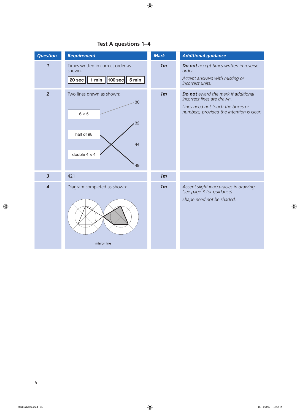### **Test A questions 1–4**

| <b>Question</b>     | <b>Requirement</b>                                                                                           | <b>Mark</b>    | <b>Additional guidance</b>                                                                                                                          |
|---------------------|--------------------------------------------------------------------------------------------------------------|----------------|-----------------------------------------------------------------------------------------------------------------------------------------------------|
| $\boldsymbol{\eta}$ | Times written in correct order as<br>shown:<br>$\vert$ 100 sec $\vert$<br>1 min $\vert$<br>5 min<br>$20$ sec | 1 <sub>m</sub> | Do not accept times written in reverse<br>order.<br>Accept answers with missing or<br>incorrect units.                                              |
| $\overline{2}$      | Two lines drawn as shown:<br>30<br>$6 \times 5$<br>32<br>half of 98<br>44<br>double $4 \times 4$<br>49       | 1 <sub>m</sub> | Do not award the mark if additional<br>incorrect lines are drawn.<br>Lines need not touch the boxes or<br>numbers, provided the intention is clear. |
| $\overline{3}$      | 421                                                                                                          | 1 <sub>m</sub> |                                                                                                                                                     |
| $\overline{4}$      | Diagram completed as shown:<br>mirror line                                                                   | 1 <sub>m</sub> | Accept slight inaccuracies in drawing<br>(see page 3 for guidance).<br>Shape need not be shaded.                                                    |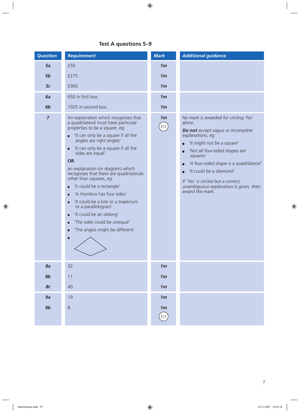### **Test A questions 5–9**

| <b>Question</b> | <b>Requirement</b>                                                                                                                                                                                                                                                                                                                                                                                                                                                                                                                                                                                                                                    | <b>Mark</b>                       | <b>Additional guidance</b>                                                                                                                                                                                                                                                                                                                                               |
|-----------------|-------------------------------------------------------------------------------------------------------------------------------------------------------------------------------------------------------------------------------------------------------------------------------------------------------------------------------------------------------------------------------------------------------------------------------------------------------------------------------------------------------------------------------------------------------------------------------------------------------------------------------------------------------|-----------------------------------|--------------------------------------------------------------------------------------------------------------------------------------------------------------------------------------------------------------------------------------------------------------------------------------------------------------------------------------------------------------------------|
| 5a              | £50                                                                                                                                                                                                                                                                                                                                                                                                                                                                                                                                                                                                                                                   | 1 <sub>m</sub>                    |                                                                                                                                                                                                                                                                                                                                                                          |
| 5b              | £275                                                                                                                                                                                                                                                                                                                                                                                                                                                                                                                                                                                                                                                  | 1 <sub>m</sub>                    |                                                                                                                                                                                                                                                                                                                                                                          |
| 5 <sub>c</sub>  | £900                                                                                                                                                                                                                                                                                                                                                                                                                                                                                                                                                                                                                                                  | 1 <sub>m</sub>                    |                                                                                                                                                                                                                                                                                                                                                                          |
| 6a              | 650 in first box.                                                                                                                                                                                                                                                                                                                                                                                                                                                                                                                                                                                                                                     | 1 <sub>m</sub>                    |                                                                                                                                                                                                                                                                                                                                                                          |
| 6b              | 1025 in second box.                                                                                                                                                                                                                                                                                                                                                                                                                                                                                                                                                                                                                                   | 1 <sub>m</sub>                    |                                                                                                                                                                                                                                                                                                                                                                          |
| $\overline{z}$  | An explanation which recognises that<br>a quadrilateral must have particular<br>properties to be a square, eg:<br>'It can only be a square if all the<br>$\blacksquare$<br>angles are right angles'<br>'It can only be a square if all the<br>П<br>sides are equal'<br><b>OR</b><br>an explanation (or diagram) which<br>recognises that there are quadrilaterals<br>other than squares, eg:<br>'It could be a rectangle'<br>Ξ<br>'A rhombus has four sides'<br>П<br>'It could be a kite or a trapezium<br>Ξ<br>or a parallelogram'<br>'It could be an oblong'<br>Ξ<br>'The sides could be unequal'<br>о<br>'The angles might be different'<br>о<br>П | 1 <sub>m</sub><br>U1              | No mark is awarded for circling 'No'<br>alone.<br>Do not accept vague or incomplete<br>explanations, eg:<br>'It might not be a square'<br>П<br>'Not all four-sided shapes are<br>П<br>squares'<br>'A four-sided shape is a quadrilateral'<br>'It could be a diamond'.<br>If 'Yes' is circled but a correct,<br>unambiguous explanation is given, then<br>award the mark. |
| 8a              | 32                                                                                                                                                                                                                                                                                                                                                                                                                                                                                                                                                                                                                                                    | 1 <sub>m</sub>                    |                                                                                                                                                                                                                                                                                                                                                                          |
| 8 <sub>b</sub>  | 11                                                                                                                                                                                                                                                                                                                                                                                                                                                                                                                                                                                                                                                    | 1 <sub>m</sub>                    |                                                                                                                                                                                                                                                                                                                                                                          |
| 8 <sub>c</sub>  | 40                                                                                                                                                                                                                                                                                                                                                                                                                                                                                                                                                                                                                                                    | 1 <sub>m</sub>                    |                                                                                                                                                                                                                                                                                                                                                                          |
| 9a              | 19                                                                                                                                                                                                                                                                                                                                                                                                                                                                                                                                                                                                                                                    | 1 <sub>m</sub>                    |                                                                                                                                                                                                                                                                                                                                                                          |
| 9b              | 8                                                                                                                                                                                                                                                                                                                                                                                                                                                                                                                                                                                                                                                     | 1 <sub>m</sub><br>$\overline{U1}$ |                                                                                                                                                                                                                                                                                                                                                                          |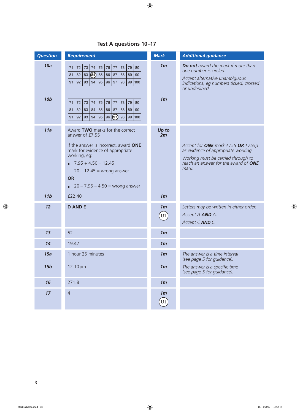|  | Test A questions 10-17 |  |
|--|------------------------|--|
|--|------------------------|--|

| <b>Question</b>   | <b>Requirement</b>                                                                                                                                                                                                                                                                                                                                                                         | <b>Mark</b>                                  | <b>Additional guidance</b>                                                                                                                                      |
|-------------------|--------------------------------------------------------------------------------------------------------------------------------------------------------------------------------------------------------------------------------------------------------------------------------------------------------------------------------------------------------------------------------------------|----------------------------------------------|-----------------------------------------------------------------------------------------------------------------------------------------------------------------|
| 10a<br><b>10b</b> | 79<br>80<br>72<br> 73<br>75<br>76<br>77<br>78<br>74<br>71<br>4<br>82<br>85<br>83<br>86<br>87<br>89<br>90<br>81<br>88<br>94<br>$\vert$ 92<br>95 <br>96<br>99 100<br>$\vert$ 93<br> 97 <br>98<br>91<br>72<br>75<br>76<br>79<br>80<br>71<br>73<br>74<br>$77$<br>78<br>82<br>83<br>84<br>85<br>86<br>87<br>88<br>89<br>90<br>81<br>95 96 $\boxed{97}$ 98 99 100<br>94<br>91   92<br>$\vert$ 93 | 1 <sub>m</sub><br>1 <sub>m</sub>             | Do not award the mark if more than<br>one number is circled.<br>Accept alternative unambiguous<br>indications, eg numbers ticked, crossed<br>or underlined.     |
| 11a<br>11b        | Award TWO marks for the correct<br>answer of £7.55<br>If the answer is incorrect, award ONE<br>mark for evidence of appropriate<br>working, eg:<br>$7.95 + 4.50 = 12.45$<br>п.<br>$20 - 12.45$ = wrong answer<br><b>OR</b><br>$20 - 7.95 - 4.50 =$ wrong answer<br>п.<br>£22.40                                                                                                            | Up to<br>2m<br>1 <sub>m</sub>                | Accept for ONE mark £755 OR £755p<br>as evidence of appropriate working.<br>Working must be carried through to<br>reach an answer for the award of ONE<br>mark. |
| 12                | <b>D AND E</b>                                                                                                                                                                                                                                                                                                                                                                             | 1 <sub>m</sub><br>$\left[\mathrm{U1}\right]$ | Letters may be written in either order.<br>Accept A AND A.<br>Accept CAND C.                                                                                    |
| 13                | 52                                                                                                                                                                                                                                                                                                                                                                                         | 1 <sub>m</sub>                               |                                                                                                                                                                 |
| 14                | 19.42                                                                                                                                                                                                                                                                                                                                                                                      | 1 <sub>m</sub>                               |                                                                                                                                                                 |
| 15a               | 1 hour 25 minutes                                                                                                                                                                                                                                                                                                                                                                          | 1 <sub>m</sub>                               | The answer is a time interval<br>(see page 5 for guidance).                                                                                                     |
| <b>15b</b>        | 12:10pm                                                                                                                                                                                                                                                                                                                                                                                    | 1 <sub>m</sub>                               | The answer is a specific time<br>(see page 5 for guidance).                                                                                                     |
| 16                | 271.8                                                                                                                                                                                                                                                                                                                                                                                      | 1 <sub>m</sub>                               |                                                                                                                                                                 |
| 17                | $\overline{4}$                                                                                                                                                                                                                                                                                                                                                                             | 1 <sub>m</sub><br>$\left[\mathrm{U1}\right]$ |                                                                                                                                                                 |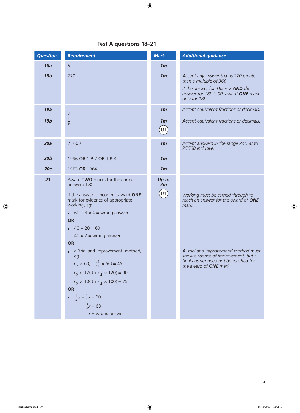### **Test A questions 18–21**

| <b>Question</b> | <b>Requirement</b>                                                                                                                                                                                                                                                                                                                                                                                                                                                                                                     | <b>Mark</b>                                                                | <b>Additional guidance</b>                                                                                                                                                                                                                   |
|-----------------|------------------------------------------------------------------------------------------------------------------------------------------------------------------------------------------------------------------------------------------------------------------------------------------------------------------------------------------------------------------------------------------------------------------------------------------------------------------------------------------------------------------------|----------------------------------------------------------------------------|----------------------------------------------------------------------------------------------------------------------------------------------------------------------------------------------------------------------------------------------|
| 18a             | 5                                                                                                                                                                                                                                                                                                                                                                                                                                                                                                                      | 1 <sub>m</sub>                                                             |                                                                                                                                                                                                                                              |
| <b>18b</b>      | 270                                                                                                                                                                                                                                                                                                                                                                                                                                                                                                                    | 1 <sub>m</sub>                                                             | Accept any answer that is 270 greater<br>than a multiple of 360<br>If the answer for 18a is 7 AND the<br>answer for 18b is 90, award ONE mark<br>only for 18b.                                                                               |
| 19a             | $\frac{1}{3}$                                                                                                                                                                                                                                                                                                                                                                                                                                                                                                          | 1 <sub>m</sub>                                                             | Accept equivalent fractions or decimals.                                                                                                                                                                                                     |
| <b>19b</b>      | $\frac{1}{9}$                                                                                                                                                                                                                                                                                                                                                                                                                                                                                                          | 1 <sub>m</sub><br>$\left( \text{U1}\right)$                                | Accept equivalent fractions or decimals.                                                                                                                                                                                                     |
| 20a             | 25000                                                                                                                                                                                                                                                                                                                                                                                                                                                                                                                  | 1 <sub>m</sub>                                                             | Accept answers in the range 24500 to<br>25500 inclusive.                                                                                                                                                                                     |
| 20 <sub>b</sub> | 1996 OR 1997 OR 1998                                                                                                                                                                                                                                                                                                                                                                                                                                                                                                   | 1 <sub>m</sub>                                                             |                                                                                                                                                                                                                                              |
| 20c             | 1963 OR 1964                                                                                                                                                                                                                                                                                                                                                                                                                                                                                                           | 1 <sub>m</sub>                                                             |                                                                                                                                                                                                                                              |
| 21              | Award TWO marks for the correct<br>answer of 80<br>If the answer is incorrect, award ONE<br>mark for evidence of appropriate<br>working, eg:<br>60 $\div$ 3 $\times$ 4 = wrong answer<br><b>OR</b><br>$40 + 20 = 60$<br>$40 \times 2$ = wrong answer<br><b>OR</b><br>a 'trial and improvement' method,<br>о<br>ea<br>$(\frac{1}{2} \times 60) + (\frac{1}{4} \times 60) = 45$<br>$(\frac{1}{2} \times 120) + (\frac{1}{4} \times 120) = 90$<br>$(\frac{1}{2} \times 100) + (\frac{1}{4} \times 100) = 75$<br><b>OR</b> | Up to<br>2m<br>$\left( \begin{matrix} 0 & 1 \\ 0 & 1 \end{matrix} \right)$ | Working must be carried through to<br>reach an answer for the award of ONE<br>mark.<br>A 'trial and improvement' method must<br>show evidence of improvement, but a<br>final answer need not be reached for<br>the award of <b>ONE</b> mark. |
|                 | $\frac{1}{2}x + \frac{1}{4}x = 60$<br>$\frac{3}{4}x = 60$<br>$x =$ wrong answer                                                                                                                                                                                                                                                                                                                                                                                                                                        |                                                                            |                                                                                                                                                                                                                                              |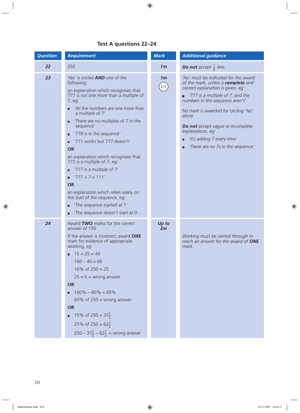#### **Test A questions 22–24**

| <b>Question</b> | <b>Requirement</b>                                                                                                                                                                                                                                                                                                                                                                                                                                                                                                                                                                                                                                         | <b>Mark</b>            | <b>Additional guidance</b>                                                                                                                                                                                                                                                                                                                                                   |
|-----------------|------------------------------------------------------------------------------------------------------------------------------------------------------------------------------------------------------------------------------------------------------------------------------------------------------------------------------------------------------------------------------------------------------------------------------------------------------------------------------------------------------------------------------------------------------------------------------------------------------------------------------------------------------------|------------------------|------------------------------------------------------------------------------------------------------------------------------------------------------------------------------------------------------------------------------------------------------------------------------------------------------------------------------------------------------------------------------|
| 22              | 250                                                                                                                                                                                                                                                                                                                                                                                                                                                                                                                                                                                                                                                        | 1 <sub>m</sub>         | <b>Do not</b> accept $\frac{1}{4}$ litre.                                                                                                                                                                                                                                                                                                                                    |
| 23              | 'No' is circled <b>AND</b> one of the<br>following:<br>an explanation which recognises that<br>777 is not one more than a multiple of<br>7, eg:<br>'All the numbers are one more than<br>П<br>a multiple of 7'<br>There are no multiples of 7 in the<br>о<br>sequence'<br>'778 is in the sequence'<br>П<br>'771 works but 777 doesn't'<br><b>OR</b><br>an explanation which recognises that<br>777 is a multiple of 7, eq:<br>'777 is a multiple of 7'<br>о<br>$'777 \div 7 = 111'$<br><b>OR</b><br>an explanation which relies solely on<br>the start of the sequence, eg:<br>'The sequence started at 1'<br>о<br>'The sequence doesn't start at 0'.<br>П | 1 <sub>m</sub><br>(U1) | 'No' must be indicated for the award<br>of the mark, unless a complete and<br>correct explanation is given, eg:<br>'777 is a multiple of 7, and the<br>numbers in the sequence aren't'.<br>No mark is awarded for circling 'No'<br>alone.<br>Do not accept vague or incomplete<br>explanations, eg:<br>'It's adding 7 every time'<br>□<br>'There are no 7s in the sequence'. |
| 24              | Award TWO marks for the correct<br>answer of 150<br>If the answer is incorrect, award ONE<br>mark for evidence of appropriate<br>working, eg:<br>$15 + 25 = 40$<br>П<br>$100 - 40 = 60$<br>10% of $250 = 25$<br>$25 \times 6 =$ wrong answer<br><b>OR</b><br>$100\% - 40\% = 60\%$<br>60% of $250$ = wrong answer<br><b>OR</b><br>15% of 250 = $37\frac{1}{2}$<br>25% of 250 = $62\frac{1}{2}$<br>$250 - 37\frac{1}{2} - 62\frac{1}{2}$ = wrong answer                                                                                                                                                                                                     | Up to<br>2m            | Working must be carried through to<br>reach an answer for the award of ONE<br>mark.                                                                                                                                                                                                                                                                                          |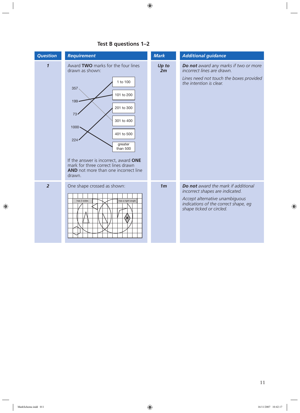| <b>Question</b> | <b>Requirement</b>                                                                                                                                                                                                                                                                                                           | <b>Mark</b>    | <b>Additional guidance</b>                                                                                                                                                          |
|-----------------|------------------------------------------------------------------------------------------------------------------------------------------------------------------------------------------------------------------------------------------------------------------------------------------------------------------------------|----------------|-------------------------------------------------------------------------------------------------------------------------------------------------------------------------------------|
| 1               | Award TWO marks for the four lines<br>drawn as shown:<br>1 to 100<br>357<br>101 to 200<br>$199 -$<br>201 to 300<br>73<br>301 to 400<br>$1000 -$<br>401 to 500<br>224<br>greater<br>than 500<br>If the answer is incorrect, award ONE<br>mark for three correct lines drawn<br>AND not more than one incorrect line<br>drawn. | Up to<br>2m    | Do not award any marks if two or more<br>incorrect lines are drawn.<br>Lines need not touch the boxes provided<br>the intention is clear.                                           |
| $\overline{2}$  | One shape crossed as shown:<br>has a right angle<br>has 3 sides                                                                                                                                                                                                                                                              | 1 <sub>m</sub> | <b>Do not</b> award the mark if additional<br>incorrect shapes are indicated.<br>Accept alternative unambiguous<br>indications of the correct shape, eg<br>shape ticked or circled. |

### **Test B questions 1–2**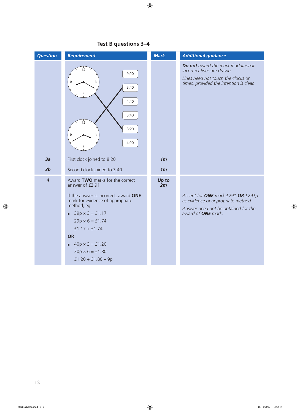| <b>Question</b> | <b>Requirement</b>                                                                                                                                                                                                                                                                                                       | <b>Mark</b>    | <b>Additional guidance</b>                                                                                                                         |
|-----------------|--------------------------------------------------------------------------------------------------------------------------------------------------------------------------------------------------------------------------------------------------------------------------------------------------------------------------|----------------|----------------------------------------------------------------------------------------------------------------------------------------------------|
|                 | 12<br>9:20<br>3<br>3:40<br>6<br>4:40<br>8:40<br>12<br>8:20<br>4:20                                                                                                                                                                                                                                                       |                | Do not award the mark if additional<br>incorrect lines are drawn.<br>Lines need not touch the clocks or<br>times, provided the intention is clear. |
| 3a              | First clock joined to 8:20                                                                                                                                                                                                                                                                                               | 1 <sub>m</sub> |                                                                                                                                                    |
| 3 <sub>b</sub>  | Second clock joined to 3:40                                                                                                                                                                                                                                                                                              | 1 <sub>m</sub> |                                                                                                                                                    |
| $\overline{4}$  | Award TWO marks for the correct<br>answer of £2.91<br>If the answer is incorrect, award ONE<br>mark for evidence of appropriate<br>method, eg:<br>$39p \times 3 = £1.17$<br>п<br>$29p \times 6 = £1.74$<br>$f1.17 + f1.74$<br><b>OR</b><br>$40p \times 3 = £1.20$<br>п<br>$30p \times 6 = £1.80$<br>$f1.20 + f1.80 - 9p$ | Up to<br>2m    | Accept for ONE mark £291 OR £291p<br>as evidence of appropriate method.<br>Answer need not be obtained for the<br>award of <b>ONE</b> mark.        |

### **Test B questions 3–4**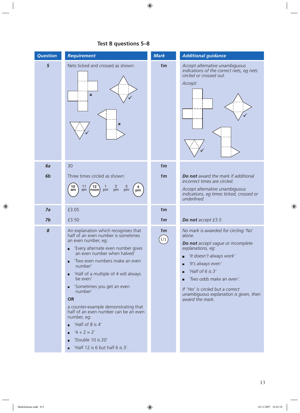| <b>Question</b> | <b>Requirement</b>                                                                                                                                                                                                                                                                                                                                                                                                                                                                                                                   | <b>Mark</b>          | <b>Additional guidance</b>                                                                                                                                                                                                                                                                                            |
|-----------------|--------------------------------------------------------------------------------------------------------------------------------------------------------------------------------------------------------------------------------------------------------------------------------------------------------------------------------------------------------------------------------------------------------------------------------------------------------------------------------------------------------------------------------------|----------------------|-----------------------------------------------------------------------------------------------------------------------------------------------------------------------------------------------------------------------------------------------------------------------------------------------------------------------|
| 5               | Nets ticked and crossed as shown:<br>$\boldsymbol{\mathsf{x}}$<br>×                                                                                                                                                                                                                                                                                                                                                                                                                                                                  | 1 <sub>m</sub>       | Accept alternative unambiguous<br>indications of the correct nets, eg nets<br>circled or crossed out.<br>Accept:                                                                                                                                                                                                      |
| 6a              | 30                                                                                                                                                                                                                                                                                                                                                                                                                                                                                                                                   | 1 <sub>m</sub>       |                                                                                                                                                                                                                                                                                                                       |
| 6b              | Three times circled as shown:<br>$\overline{c}$<br>10<br>11<br>$\frac{3}{\text{pm}}$<br>12<br>am<br>pm<br>pm<br>am<br>(noon)<br>pm                                                                                                                                                                                                                                                                                                                                                                                                   | 1 <sub>m</sub>       | Do not award the mark if additional<br>incorrect times are circled.<br>Accept alternative unambiguous<br>indications, eg times ticked, crossed or<br>underlined.                                                                                                                                                      |
| 7a              | £3.05                                                                                                                                                                                                                                                                                                                                                                                                                                                                                                                                | 1 <sub>m</sub>       |                                                                                                                                                                                                                                                                                                                       |
| 7b              | £3.50                                                                                                                                                                                                                                                                                                                                                                                                                                                                                                                                | 1 <sub>m</sub>       | Do not accept £3.5                                                                                                                                                                                                                                                                                                    |
| 8               | An explanation which recognises that<br>half of an even number is sometimes<br>an even number, eg:<br>'Every alternate even number gives<br>an even number when halved'<br>'Two even numbers make an even<br>number'<br>'Half of a multiple of 4 will always<br>$\blacksquare$<br>be even'<br>'Sometimes you get an even<br>$\blacksquare$<br>number'<br><b>OR</b><br>a counter-example demonstrating that<br>half of an even number can be an even<br>number, eg:<br>'Half of 8 is 4'<br>$'4 \div 2 = 2'$<br>П<br>'Double 10 is 20' | 1 <sub>m</sub><br>U1 | No mark is awarded for circling 'No'<br>alone.<br>Do not accept vague or incomplete<br>explanations, eg:<br>'It doesn't always work'<br>'It's always even'<br>П<br>'Half of $6$ is $3'$<br>'Two odds make an even'.<br>If 'Yes' is circled but a correct<br>unambiguous explanation is given, then<br>award the mark. |
|                 | 'Half 12 is 6 but half 6 is 3'.<br>П                                                                                                                                                                                                                                                                                                                                                                                                                                                                                                 |                      |                                                                                                                                                                                                                                                                                                                       |

### **Test B questions 5–8**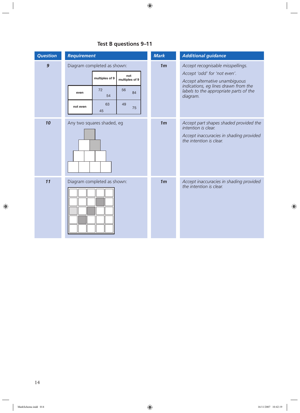| <b>Question</b> | <b>Requirement</b>                                                     | <b>Mark</b>                           | <b>Additional guidance</b>                                                                                   |
|-----------------|------------------------------------------------------------------------|---------------------------------------|--------------------------------------------------------------------------------------------------------------|
| $\overline{9}$  | Diagram completed as shown:<br>not<br>multiples of 9<br>multiples of 9 | 1 <sub>m</sub>                        | Accept recognisable misspellings.<br>Accept 'odd' for 'not even'.<br>Accept alternative unambiguous          |
|                 | 72<br>56<br>84<br>even<br>54<br>49<br>63                               | diagram.                              | indications, eg lines drawn from the<br>labels to the appropriate parts of the                               |
|                 | not even<br>75<br>45                                                   |                                       |                                                                                                              |
| 10              | Any two squares shaded, eg                                             | 1 <sub>m</sub><br>intention is clear. | Accept part shapes shaded provided the<br>Accept inaccuracies in shading provided<br>the intention is clear. |
| 11              | Diagram completed as shown:                                            | 1 <sub>m</sub>                        | Accept inaccuracies in shading provided<br>the intention is clear.                                           |

### **Test B questions 9–11**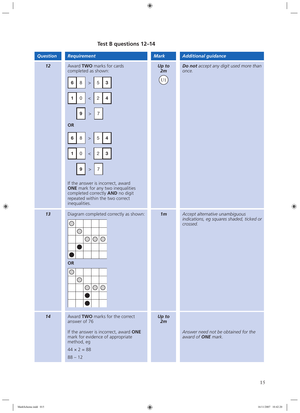| <b>Question</b> | <b>Requirement</b>                                                                                                                                                           | <b>Mark</b>               | <b>Additional guidance</b>                                                              |
|-----------------|------------------------------------------------------------------------------------------------------------------------------------------------------------------------------|---------------------------|-----------------------------------------------------------------------------------------|
| 12              | Award TWO marks for cards<br>completed as shown:                                                                                                                             | Up to<br>2m               | Do not accept any digit used more than<br>once.                                         |
|                 | $\sqrt{5}$<br>$\mathbf{3}$<br>8<br>$6\phantom{1}6$<br>$\,>$                                                                                                                  | $\left( \text{U1}\right)$ |                                                                                         |
|                 | $\mathsf{O}\xspace$<br>$\overline{2}$<br>$\overline{\mathbf{4}}$<br>1<br>$\,<$                                                                                               |                           |                                                                                         |
|                 | 9<br>$\overline{7}$<br>$\,>$                                                                                                                                                 |                           |                                                                                         |
|                 | <b>OR</b>                                                                                                                                                                    |                           |                                                                                         |
|                 | 8<br>$\sqrt{5}$<br>6<br>4<br>$\,>$                                                                                                                                           |                           |                                                                                         |
|                 | $\mathbf{3}$<br>$\mathbf 0$<br>$\overline{2}$<br>$\blacktriangleleft$<br>$\,<\,$                                                                                             |                           |                                                                                         |
|                 | 9<br>$\overline{7}$<br>$\,>$                                                                                                                                                 |                           |                                                                                         |
|                 | If the answer is incorrect, award<br><b>ONE</b> mark for any two inequalities<br>completed correctly <b>AND</b> no digit<br>repeated within the two correct<br>inequalities. |                           |                                                                                         |
| 13              | Diagram completed correctly as shown:<br>$\bigcirc$<br>$\bigcirc$<br>$\bigcirc$<br>$\bigcirc$<br>$\bigcirc$                                                                  | 1 <sub>m</sub>            | Accept alternative unambiguous<br>indications, eg squares shaded, ticked or<br>crossed. |
|                 | <b>OR</b><br>U<br>$\bigcirc$<br>$\bigcirc$<br>$\bigcirc$<br>$\bigcirc$                                                                                                       |                           |                                                                                         |
| 14              | Award TWO marks for the correct<br>answer of 76                                                                                                                              | Up to<br>2m               |                                                                                         |
|                 | If the answer is incorrect, award ONE<br>mark for evidence of appropriate<br>method, eg                                                                                      |                           | Answer need not be obtained for the<br>award of <b>ONE</b> mark.                        |
|                 | $44 \times 2 = 88$                                                                                                                                                           |                           |                                                                                         |
|                 | $88 - 12$                                                                                                                                                                    |                           |                                                                                         |

### **Test B questions 12–14**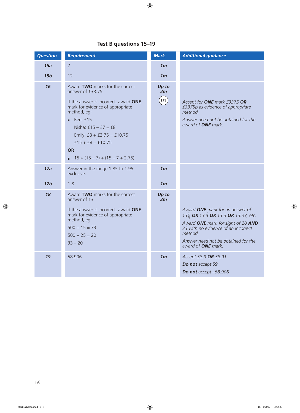### **Test B questions 15–19**

| <b>Question</b> | <b>Requirement</b>                                                                                                                                                                                                                                                                                               | <b>Mark</b>                 | <b>Additional guidance</b>                                                                                                                                                                                                                     |
|-----------------|------------------------------------------------------------------------------------------------------------------------------------------------------------------------------------------------------------------------------------------------------------------------------------------------------------------|-----------------------------|------------------------------------------------------------------------------------------------------------------------------------------------------------------------------------------------------------------------------------------------|
| 15a             | $\overline{7}$                                                                                                                                                                                                                                                                                                   | 1 <sub>m</sub>              |                                                                                                                                                                                                                                                |
| 15 <sub>b</sub> | 12                                                                                                                                                                                                                                                                                                               | 1 <sub>m</sub>              |                                                                                                                                                                                                                                                |
| 16              | Award TWO marks for the correct<br>answer of £33.75<br>If the answer is incorrect, award ONE<br>mark for evidence of appropriate<br>method, eg:<br>Ben: £15<br>Nisha: $£15 - £7 = £8$<br>Emily: $£8 + £2.75 = £10.75$<br>$f15 + f8 + f10.75$<br><b>OR</b><br>$15 + (15 - 7) + (15 - 7 + 2.75)$<br>$\blacksquare$ | Up to<br>2m<br>$\boxed{U1}$ | Accept for ONE mark £3375 OR<br>£3375p as evidence of appropriate<br>method.<br>Answer need not be obtained for the<br>award of <b>ONE</b> mark.                                                                                               |
| 17a             | Answer in the range 1.85 to 1.95<br>exclusive.                                                                                                                                                                                                                                                                   | 1 <sub>m</sub>              |                                                                                                                                                                                                                                                |
| 17 <sub>b</sub> | 1.8                                                                                                                                                                                                                                                                                                              | 1 <sub>m</sub>              |                                                                                                                                                                                                                                                |
| 18              | Award TWO marks for the correct<br>answer of 13<br>If the answer is incorrect, award ONE<br>mark for evidence of appropriate<br>method, eg<br>$500 \div 15 = 33$<br>$500 \div 25 = 20$<br>$33 - 20$                                                                                                              | Up to<br>2m                 | Award ONE mark for an answer of<br>13 $\frac{1}{3}$ OR 13.3 OR 13.3 OR 13.33, etc.<br>Award ONE mark for sight of 20 AND<br>33 with no evidence of an incorrect<br>method.<br>Answer need not be obtained for the<br>award of <b>ONE</b> mark. |
| 19              | 58.906                                                                                                                                                                                                                                                                                                           | 1 <sub>m</sub>              | Accept 58.9 OR 58.91<br>Do not accept 59<br>Do not accept -58.906                                                                                                                                                                              |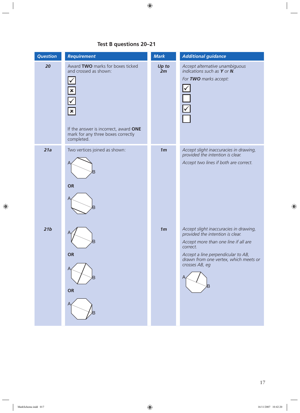### **Test B questions 20–21**

| <b>Question</b> | <b>Requirement</b>                                                                                                                                                                       | <b>Mark</b>    | <b>Additional guidance</b>                                                                                                                                                                                                           |
|-----------------|------------------------------------------------------------------------------------------------------------------------------------------------------------------------------------------|----------------|--------------------------------------------------------------------------------------------------------------------------------------------------------------------------------------------------------------------------------------|
| 20              | Award TWO marks for boxes ticked<br>and crossed as shown:<br>$\mathbf{x}$<br>$\pmb{\times}$<br>If the answer is incorrect, award ONE<br>mark for any three boxes correctly<br>completed. | Up to<br>2m    | Accept alternative unambiguous<br>indications such as $Y$ or $N$ .<br>For TWO marks accept:                                                                                                                                          |
| 21a             | Two vertices joined as shown:<br>B<br><b>OR</b><br>B                                                                                                                                     | 1 <sub>m</sub> | Accept slight inaccuracies in drawing,<br>provided the intention is clear.<br>Accept two lines if both are correct.                                                                                                                  |
| 21b             | B<br><b>OR</b><br>B<br>OR                                                                                                                                                                | 1 <sub>m</sub> | Accept slight inaccuracies in drawing,<br>provided the intention is clear.<br>Accept more than one line if all are<br>correct.<br>Accept a line perpendicular to AB,<br>drawn from one vertex, which meets or<br>crosses AB, eg<br>в |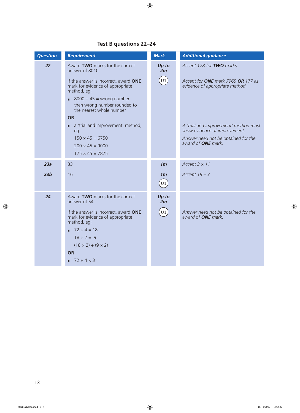### **Test B questions 22–24**

| <b>Question</b> | <b>Requirement</b>                                                                                                                                                                                                                                             | <b>Mark</b>                       | <b>Additional guidance</b>                                                                                                                 |
|-----------------|----------------------------------------------------------------------------------------------------------------------------------------------------------------------------------------------------------------------------------------------------------------|-----------------------------------|--------------------------------------------------------------------------------------------------------------------------------------------|
| 22              | Award TWO marks for the correct<br>answer of 8010                                                                                                                                                                                                              | Up to<br>2m                       | Accept 178 for TWO marks.                                                                                                                  |
|                 | If the answer is incorrect, award ONE<br>mark for evidence of appropriate<br>method, eg:                                                                                                                                                                       | $\overline{U1}$                   | Accept for ONE mark 7965 OR 177 as<br>evidence of appropriate method.                                                                      |
|                 | $8000 \div 45 =$ wrong number<br>then wrong number rounded to<br>the nearest whole number                                                                                                                                                                      |                                   |                                                                                                                                            |
|                 | <b>OR</b><br>a 'trial and improvement' method,<br>eg<br>$150 \times 45 = 6750$<br>$200 \times 45 = 9000$<br>$175 \times 45 = 7875$                                                                                                                             |                                   | A 'trial and improvement' method must<br>show evidence of improvement.<br>Answer need not be obtained for the<br>award of <b>ONE</b> mark. |
| 23a             | 33                                                                                                                                                                                                                                                             | 1 <sub>m</sub>                    | Accept $3 \times 11$                                                                                                                       |
| 23 <sub>b</sub> | 16                                                                                                                                                                                                                                                             | 1 <sub>m</sub><br>$\overline{U1}$ | Accept $19 - 3$                                                                                                                            |
| 24              | Award TWO marks for the correct<br>answer of 54<br>If the answer is incorrect, award ONE<br>mark for evidence of appropriate<br>method, eg:<br>$72 \div 4 = 18$<br>$18 \div 2 = 9$<br>$(18 \times 2) + (9 \times 2)$<br><b>OR</b><br>$\blacksquare$ 72 ÷ 4 × 3 | Up to<br>2m<br>U1                 | Answer need not be obtained for the<br>award of <b>ONE</b> mark.                                                                           |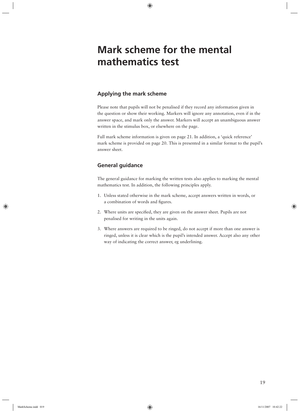# **Mark scheme for the mental mathematics test**

#### **Applying the mark scheme**

Please note that pupils will not be penalised if they record any information given in the question or show their working. Markers will ignore any annotation, even if in the answer space, and mark only the answer. Markers will accept an unambiguous answer written in the stimulus box, or elsewhere on the page.

Full mark scheme information is given on page 21. In addition, a 'quick reference' mark scheme is provided on page 20. This is presented in a similar format to the pupil's answer sheet.

#### **General guidance**

The general guidance for marking the written tests also applies to marking the mental mathematics test. In addition, the following principles apply.

- 1. Unless stated otherwise in the mark scheme, accept answers written in words, or a combination of words and figures.
- 2. Where units are specified, they are given on the answer sheet. Pupils are not penalised for writing in the units again.
- 3. Where answers are required to be ringed, do not accept if more than one answer is ringed, unless it is clear which is the pupil's intended answer. Accept also any other way of indicating the correct answer, eg underlining.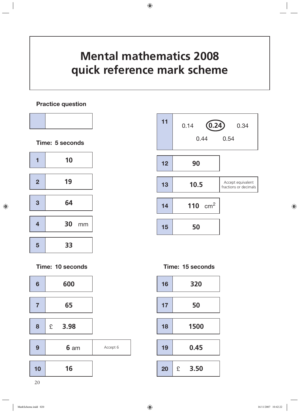# **Mental mathematics 2008 quick reference mark scheme**

#### **Practice question**



| 11 | (0.24)<br>0.14<br>0.44 | 0.34<br>0.54                               |
|----|------------------------|--------------------------------------------|
| 12 | 90                     |                                            |
| 13 | 10.5                   | Accept equivalent<br>fractions or decimals |
| 14 | 110 $cm2$              |                                            |
| 15 | 50                     |                                            |

**Time: 15 seconds**

| 16 | 320  |      |  |
|----|------|------|--|
| 17 | 50   |      |  |
| 18 | 1500 |      |  |
| 19 | 0.45 |      |  |
| 20 | £    | 3.50 |  |

**Time: 10 seconds**

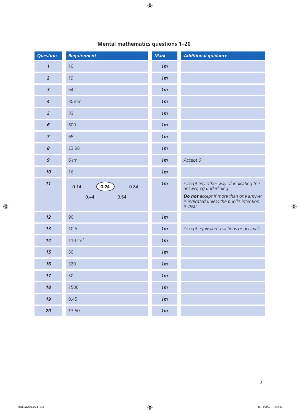| <b>Question</b>            | <b>Requirement</b>                   | <b>Mark</b>    | <b>Additional guidance</b>                                                                                                                                                  |
|----------------------------|--------------------------------------|----------------|-----------------------------------------------------------------------------------------------------------------------------------------------------------------------------|
| $\boldsymbol{\mathcal{I}}$ | 10                                   | 1 <sub>m</sub> |                                                                                                                                                                             |
| $\overline{2}$             | 19                                   | 1 <sub>m</sub> |                                                                                                                                                                             |
| $\overline{\mathbf{3}}$    | 64                                   | 1 <sub>m</sub> |                                                                                                                                                                             |
| $\boldsymbol{4}$           | 30mm                                 | 1 <sub>m</sub> |                                                                                                                                                                             |
| $\overline{5}$             | 33                                   | 1 <sub>m</sub> |                                                                                                                                                                             |
| $6\phantom{1}$             | 600                                  | 1 <sub>m</sub> |                                                                                                                                                                             |
| $\overline{z}$             | 65                                   | 1 <sub>m</sub> |                                                                                                                                                                             |
| $\boldsymbol{8}$           | £3.98                                | 1 <sub>m</sub> |                                                                                                                                                                             |
| $\boldsymbol{9}$           | 6am                                  | 1 <sub>m</sub> | Accept 6                                                                                                                                                                    |
| 10                         | 16                                   | 1 <sub>m</sub> |                                                                                                                                                                             |
| 11                         | 0.24<br>0.14<br>0.34<br>0.44<br>0.54 | 1 <sub>m</sub> | Accept any other way of indicating the<br>answer, eg underlining.<br><b>Do not</b> accept if more than one answer<br>is indicated unless the pupil's intention<br>is clear. |
| 12                         | 90                                   | 1 <sub>m</sub> |                                                                                                                                                                             |
| 13                         | 10.5                                 | 1 <sub>m</sub> | Accept equivalent fractions or decimals.                                                                                                                                    |
| 14                         | $110 \text{ cm}^2$                   | 1 <sub>m</sub> |                                                                                                                                                                             |
| 15                         | 50                                   | 1 <sub>m</sub> |                                                                                                                                                                             |
| 16                         | 320                                  | 1 <sub>m</sub> |                                                                                                                                                                             |
| 17                         | 50                                   | 1m             |                                                                                                                                                                             |
| 18                         | 1500                                 | 1 <sub>m</sub> |                                                                                                                                                                             |
| 19                         | 0.45                                 | 1 <sub>m</sub> |                                                                                                                                                                             |
| 20                         | £3.50                                | 1 <sub>m</sub> |                                                                                                                                                                             |

### **Mental mathematics questions 1–20**